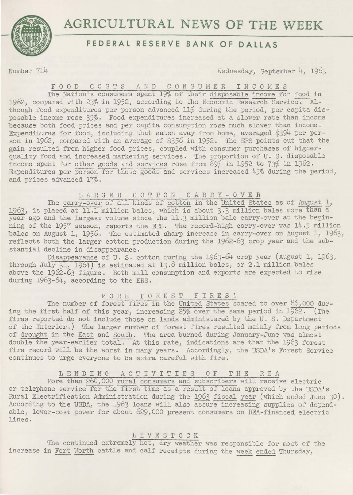

# **AGRICULTURAL NEWS OF THE WEEK**

# **FEDERAL RESERVE BANK OF DALLAS**

Number 714 Wednesday, September 4, 1963

#### F 0 0 D C 0 S T S A N D C 0 N S U M *E* R I N C 0 M E S

The Nation's consumers spent 19% of their disposable income for food in 1962, compared with 23% in 1952, according to the Economic Research Service. Although food expenditures per person advanced 11% during the period, per capita disposable income rose 35%· Food expenditures increased at a slower rate than income l)ecause both food prices and per capita consumption rose much slower than income. Expenditures for food, including that eaten away from home, averaged \$394 per person in 1962, compared with an average of \$356 in 1952. The ERS points out that the gain resulted from higher food prices, coupled with consumer purchases of higherquality food and increased marketing services. The proportion of U.S. disposable income spent for other goods and services rose from 69% in 1952 to 73% in 1962. Expenditures per person for these goods and services increased 45% during the period, and prices advanced 17%·

# 1 A R G E R C 0 T T 0 N C A R R Y - 0 V E R

The carry-over of all kinds of cotton in the United States as of August 1, 1963, is placed at 11.1 million bales, which is about 3.3 million bales more than a year ago and the largest volume since the 11.3 million bale carry-over at the beginning of the 1957 season, reports the ERS. The record-high carry-over was 14.5 million bales on August 1, 1956. The estimated sharp increase in carry-over on August 1, 1963, reflects both the larger cotton production during the 1962-63 crop year and the substantial decline in disappearance.

Disappearance of U. S. cotton during the 1963-64 crop year (August 1, 1963, through July 31, 1964) is estimated at 13.8 million bales, or 2.1 million bales above the 1962-63 figure. Both mill consumption and exports are expected to rise during 1963-64, according to the ERS.

## MORE FOREST FIRES!

The number of forest fires in the United States soared to over 86,000 during the first half of this year, increasing 25% over the same period in 1962. (The fires reported do not include those on lands administered by the U. S. Department of the Interior.) The larger number of forest fires resulted mainly from long periods of drought in the East and South. The area burned during January-June was almost double the year-earlier total. At this rate, indications are that the 1963 forest fire record will be the worst in many years. Accordingly, the USDA's Forest Service continues to urge everyone to be extra careful with fire.

## L E N D I N G A C T I V I T I E S O F T H E R E A

More than 260,000 rural consumers and subscribers will receive electric or telephone service for the first time as a result of loans approved by the USDA's Rural Electrification Administration during the 1963 fiscal year (which ended June 30). According to the USDA, the 1963 loans will also assure increasing supplies of dependable, lower-cost power for about 629,000 present consumers on REA-financed electric lines.

#### 1 I V E S T 0 C K

The continued extremely hot, dry weather was responsible for most of the increase in Fort Horth cattle and calf receipts during the week ended Thursday,